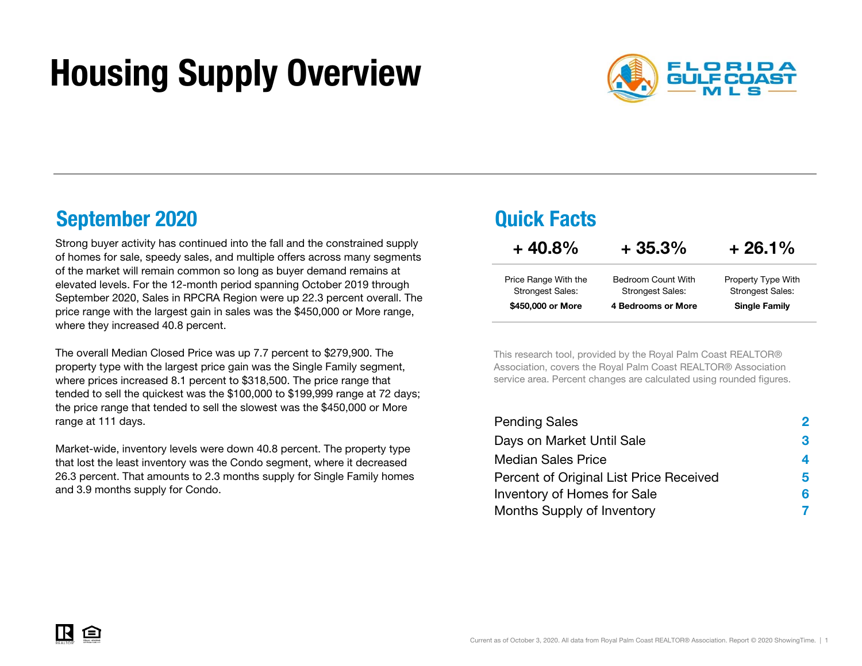# Housing Supply Overview



## September 2020 **Quick Facts**

Strong buyer activity has continued into the fall and the constrained supply of homes for sale, speedy sales, and multiple offers across many segments of the market will remain common so long as buyer demand remains at elevated levels. For the 12-month period spanning October 2019 through September 2020, Sales in RPCRA Region were up 22.3 percent overall. The price range with the largest gain in sales was the \$450,000 or More range, where they increased 40.8 percent.

The overall Median Closed Price was up 7.7 percent to \$279,900. The property type with the largest price gain was the Single Family segment, where prices increased 8.1 percent to \$318,500. The price range that tended to sell the quickest was the \$100,000 to \$199,999 range at 72 days; the price range that tended to sell the slowest was the \$450,000 or More range at 111 days.

Market-wide, inventory levels were down 40.8 percent. The property type that lost the least inventory was the Condo segment, where it decreased 26.3 percent. That amounts to 2.3 months supply for Single Family homes and 3.9 months supply for Condo.

| $+40.8\%$                                       | $+35.3%$                                             | $+26.1%$                                      |
|-------------------------------------------------|------------------------------------------------------|-----------------------------------------------|
| Price Range With the<br><b>Strongest Sales:</b> | <b>Bedroom Count With</b><br><b>Strongest Sales:</b> | Property Type With<br><b>Strongest Sales:</b> |
| \$450,000 or More                               | 4 Bedrooms or More                                   | <b>Single Family</b>                          |

This research tool, provided by the Royal Palm Coast REALTOR® Association, covers the Royal Palm Coast REALTOR® Association service area. Percent changes are calculated using rounded figures.

| <b>Pending Sales</b>                    | 2  |
|-----------------------------------------|----|
| Days on Market Until Sale               | 3  |
| <b>Median Sales Price</b>               | 4  |
| Percent of Original List Price Received | 5. |
| Inventory of Homes for Sale             | 6  |
| Months Supply of Inventory              |    |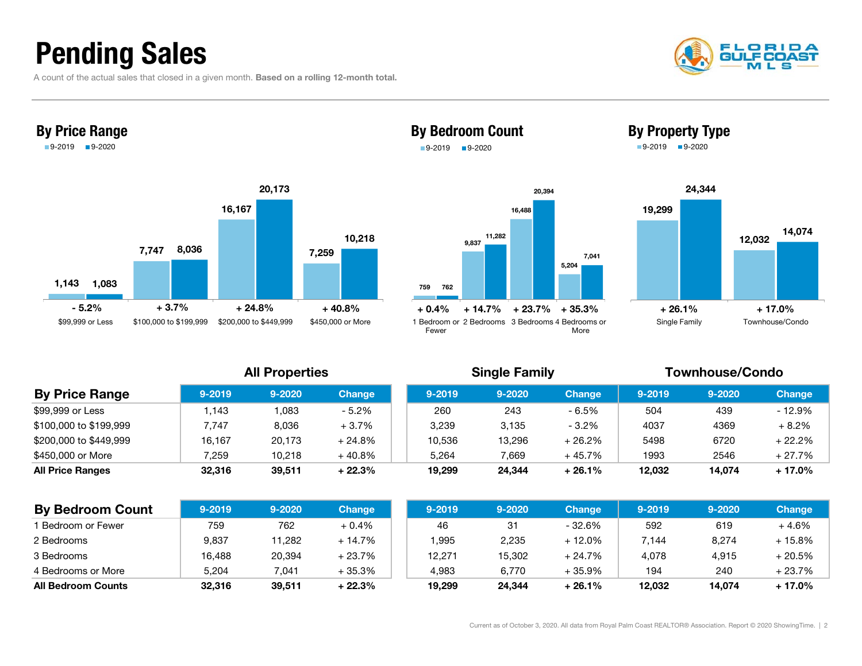## Pending Sales

A count of the actual sales that closed in a given month. Based on a rolling 12-month total.





### By Bedroom Count 9-2019 9-2020

### 7599,837 16,488 5,204 76211,282 20,394 7,041 1 Bedroom or2 Bedrooms 3 Bedrooms 4 Bedrooms or $+0.4%$ + 14.7% + 23.7% + 35.3%





### All Properties **Single Family** Single Family **Townhouse/Condo**

More

### **By Price Range 1** 9-2019 9-2020 Change 9-2019 9-2020 Change 9-2019 9-2019 9-2020 Change \$99,999 or Less 1,143 1,083 - 5.2% 260 243 - 6.5% 504 439 - 12.9%  $$100,000$  to  $$199,999$   $$7,747$   $$0.036$   $$+3.7\%$   $$3,239$   $$3,135$   $$-3.2\%$   $$4037$   $$4369$   $$+8.2\%$  $$200,000$  to  $$449,999$   $$16,167$   $$20,173$   $$+24.8\%$   $$10,536$   $$13,296$   $$+26.2\%$   $$5498$   $$6720$   $$+22.2\%$ \$450,000 or More 7,259 10,218 + 40.8% 5,264 7,669 + 45.7% 1993 2546 + 27.7% All Price Ranges 32,316 39,511 + 22.3% 19,299 24,344 + 26.1% 12,032 14,074 + 17.0%

Fewer

| <b>By Bedroom Count</b>   | $9 - 2019$ | $9 - 2020$ | <b>Change</b> | $9 - 2019$ | 9-2020 | <b>Change</b> | 9-2019 | $9 - 2020$ | <b>Change</b> |
|---------------------------|------------|------------|---------------|------------|--------|---------------|--------|------------|---------------|
| Bedroom or Fewer          | 759        | 762        | $+0.4%$       | 46         | 31     | - 32.6%       | 592    | 619        | $+4.6%$       |
| 2 Bedrooms                | 9,837      | 1,282      | $+14.7%$      | ,995       | 2,235  | $+12.0%$      | 7,144  | 8,274      | + 15.8%       |
| 3 Bedrooms                | 16.488     | 20,394     | $+23.7%$      | 12,271     | 15.302 | $+24.7%$      | 4.078  | 4.915      | + 20.5%       |
| 4 Bedrooms or More        | 5.204      | 7.041      | + 35.3%       | 4.983      | 6.770  | $+35.9%$      | 194    | 240        | + 23.7%       |
| <b>All Bedroom Counts</b> | 32,316     | 39,511     | $+22.3%$      | 19,299     | 24,344 | $+26.1%$      | 12.032 | 14.074     | + 17.0%       |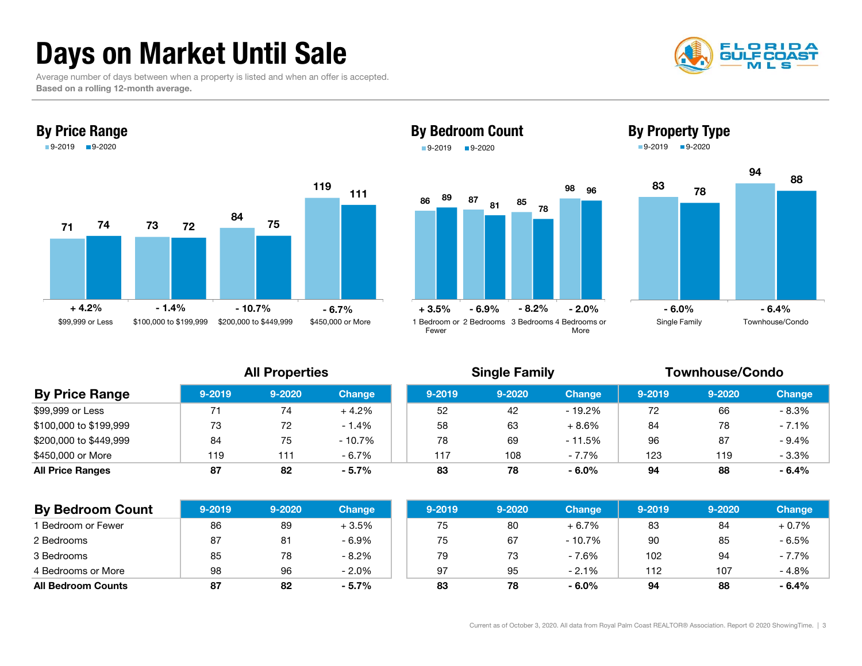## Days on Market Until Sale

 Average number of days between when a property is listed and when an offer is accepted. Based on a rolling 12-month average.





## By Bedroom Count 9-2019 9-2020





By Property Type

| <b>By Price Range</b>   | $9 - 2019$ | $9 - 2020$ | <b>Change</b> | $9 - 2019$ | 9-2020 | <b>Change</b> | $9 - 2019$ | $9 - 2020$ | <b>Change</b> |
|-------------------------|------------|------------|---------------|------------|--------|---------------|------------|------------|---------------|
| \$99,999 or Less        |            | 74         | $+4.2%$       | 52         | 42     | - 19.2%       | 72         | 66         | $-8.3%$       |
| \$100,000 to \$199,999  | 73         | 72         | $-1.4%$       | 58         | 63     | $+8.6%$       | 84         | 78         | $-7.1%$       |
| \$200,000 to \$449,999  | 84         | 75         | $-10.7%$      | 78         | 69     | $-11.5%$      | 96         | 87         | $-9.4%$       |
| \$450,000 or More       | 119        | 111        | $-6.7\%$      | 117        | 108    | $-7.7%$       | 123        | 119        | $-3.3%$       |
| <b>All Price Ranges</b> | 87         | 82         | $-5.7%$       | 83         | 78     | $-6.0%$       | 94         | 88         | $-6.4%$       |

| <b>By Bedroom Count</b>   | $9 - 2019$ | $9 - 2020$ | <b>Change</b> | $9 - 2019$ | $9 - 2020$ | <b>Change</b> | $9 - 2019$ | 9-2020 | <b>Change</b> |
|---------------------------|------------|------------|---------------|------------|------------|---------------|------------|--------|---------------|
| 1 Bedroom or Fewer        | 86         | 89         | $+3.5%$       | 75         | 80         | $+6.7%$       | 83         | 84     | $+0.7%$       |
| 2 Bedrooms                | 87         | 81         | $-6.9%$       | 75         | 67         | $-10.7\%$     | 90         | 85     | $-6.5%$       |
| 3 Bedrooms                | 85         | 78         | $-8.2%$       | 79         | 73         | $-7.6%$       | 102        | 94     | $-7.7%$       |
| 4 Bedrooms or More        | 98         | 96         | $-2.0%$       | 97         | 95         | $-2.1%$       | 112        | 107    | $-4.8%$       |
| <b>All Bedroom Counts</b> | 87         | 82         | $-5.7%$       | 83         | 78         | $-6.0%$       | 94         | 88     | $-6.4%$       |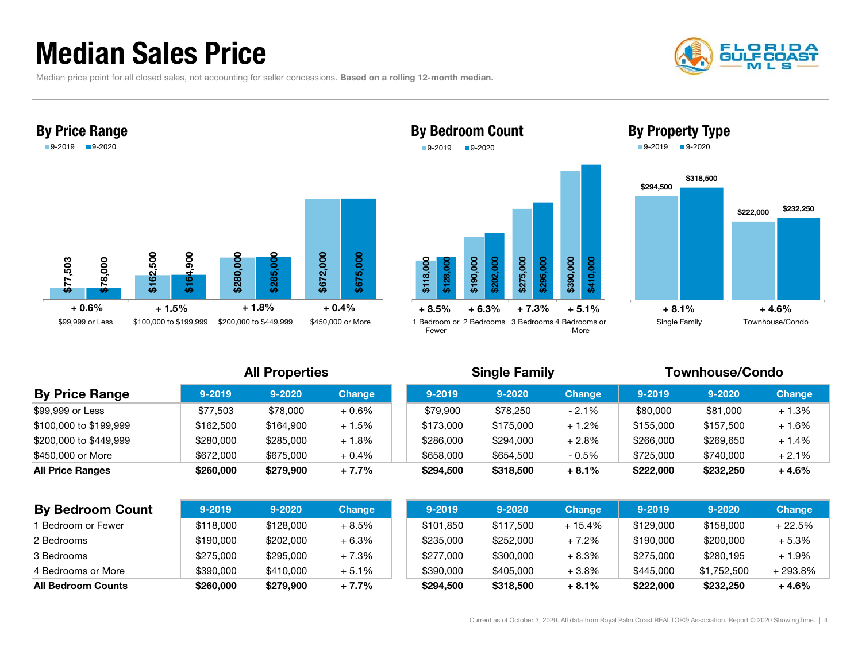## Median Sales Price

Median price point for all closed sales, not accounting for seller concessions. Based on a rolling 12-month median.







By Bedroom Count 9-2019 9-2020



|                           |            | <b>All Properties</b> |               |  |            | <b>Single Family</b> |               | <b>Townhouse/Condo</b> |             |               |  |
|---------------------------|------------|-----------------------|---------------|--|------------|----------------------|---------------|------------------------|-------------|---------------|--|
| <b>By Price Range</b>     | $9 - 2019$ | $9 - 2020$            | <b>Change</b> |  | $9 - 2019$ | $9 - 2020$           | <b>Change</b> | $9 - 2019$             | $9 - 2020$  | <b>Change</b> |  |
| \$99,999 or Less          | \$77,503   | \$78,000              | $+0.6%$       |  | \$79,900   | \$78,250             | $-2.1%$       | \$80,000               | \$81,000    | $+1.3%$       |  |
| \$100,000 to \$199,999    | \$162,500  | \$164,900             | $+1.5%$       |  | \$173,000  | \$175,000            | $+1.2%$       | \$155,000              | \$157,500   | $+1.6%$       |  |
| \$200,000 to \$449,999    | \$280,000  | \$285,000             | $+1.8%$       |  | \$286,000  | \$294,000            | $+2.8%$       | \$266,000              | \$269,650   | $+1.4%$       |  |
| \$450,000 or More         | \$672,000  | \$675,000             | $+0.4%$       |  | \$658,000  | \$654,500            | $-0.5%$       | \$725,000              | \$740,000   | $+2.1\%$      |  |
| <b>All Price Ranges</b>   | \$260,000  | \$279,900             | $+7.7%$       |  | \$294,500  | \$318,500            | $+8.1%$       | \$222,000              | \$232,250   | + 4.6%        |  |
| <b>By Bedroom Count</b>   | $9 - 2019$ | $9 - 2020$            | <b>Change</b> |  | $9 - 2019$ | $9 - 2020$           | <b>Change</b> | $9 - 2019$             | 9-2020      | <b>Change</b> |  |
| Bedroom or Fewer          | \$118,000  | \$128,000             | $+8.5%$       |  | \$101,850  | \$117,500            | $+15.4%$      | \$129,000              | \$158,000   | $+22.5%$      |  |
| 2 Bedrooms                | \$190,000  | \$202,000             | $+6.3%$       |  | \$235,000  | \$252,000            | $+7.2%$       | \$190,000              | \$200,000   | $+5.3%$       |  |
| 3 Bedrooms                | \$275,000  | \$295,000             | $+7.3%$       |  | \$277,000  | \$300,000            | $+8.3%$       | \$275,000              | \$280,195   | $+1.9\%$      |  |
| 4 Bedrooms or More        | \$390,000  | \$410,000             | $+5.1%$       |  | \$390,000  | \$405,000            | $+3.8\%$      | \$445,000              | \$1,752,500 | + 293.8%      |  |
| <b>All Bedroom Counts</b> | \$260,000  | \$279,900             | $+7.7%$       |  | \$294,500  | \$318,500            | $+8.1%$       | \$222,000              | \$232,250   | $+4.6%$       |  |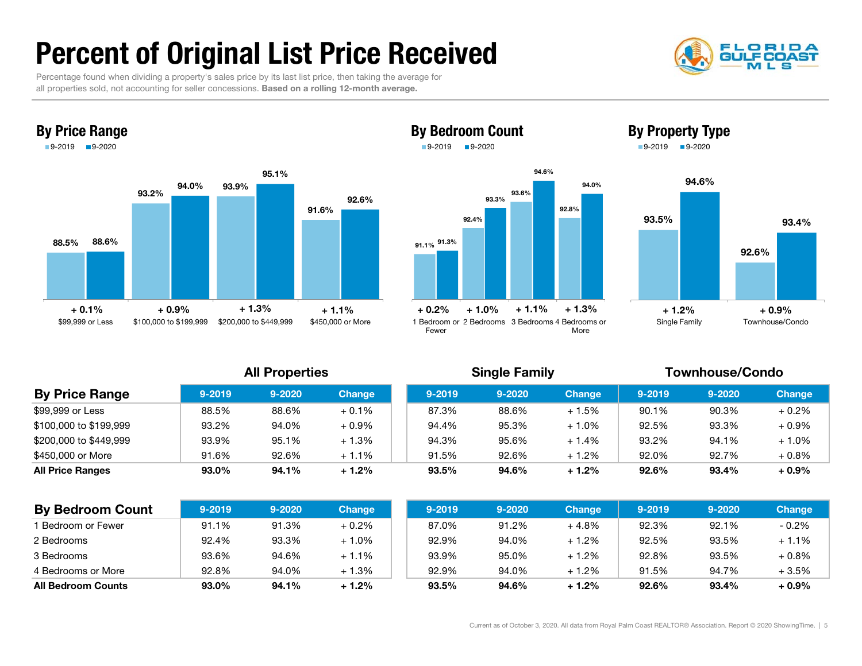## Percent of Original List Price Received

 Percentage found when dividing a property's sales price by its last list price, then taking the average for all properties sold, not accounting for seller concessions. Based on a rolling 12-month average.







By Bedroom Count



| <b>By Price Range</b>   | $9 - 2019$ | $9 - 2020$ | <b>Change</b> | $9 - 2019$ | $9 - 2020$ | <b>Change</b> | $9 - 2019$ | $9 - 2020$ | <b>Change</b> |
|-------------------------|------------|------------|---------------|------------|------------|---------------|------------|------------|---------------|
| \$99,999 or Less        | 88.5%      | 88.6%      | $+0.1%$       | 87.3%      | 88.6%      | $+1.5%$       | 90.1%      | 90.3%      | $+0.2%$       |
| \$100,000 to \$199,999  | 93.2%      | 94.0%      | $+0.9%$       | 94.4%      | 95.3%      | $+1.0%$       | 92.5%      | 93.3%      | $+0.9\%$      |
| \$200,000 to \$449,999  | 93.9%      | 95.1%      | $+1.3%$       | 94.3%      | 95.6%      | $+1.4%$       | 93.2%      | 94.1%      | $+1.0%$       |
| \$450,000 or More       | 91.6%      | 92.6%      | $+1.1%$       | 91.5%      | 92.6%      | $+1.2%$       | 92.0%      | 92.7%      | $+0.8%$       |
| <b>All Price Ranges</b> | 93.0%      | 94.1%      | $+1.2%$       | 93.5%      | 94.6%      | $+1.2%$       | 92.6%      | 93.4%      | $+0.9%$       |

| <b>By Bedroom Count</b>   | $9 - 2019$ | $9 - 2020$ | <b>Change</b> | $9 - 2019$ | $9 - 2020$ | <b>Change</b> | $9 - 2019$ | $9 - 2020$ | Change  |
|---------------------------|------------|------------|---------------|------------|------------|---------------|------------|------------|---------|
| Bedroom or Fewer          | 91.1%      | 91.3%      | $+0.2%$       | 87.0%      | 91.2%      | $+4.8%$       | 92.3%      | 92.1%      | $-0.2%$ |
| 2 Bedrooms                | 92.4%      | 93.3%      | $+1.0%$       | 92.9%      | 94.0%      | $+1.2%$       | 92.5%      | 93.5%      | $+1.1%$ |
| 3 Bedrooms                | 93.6%      | 94.6%      | $+1.1%$       | 93.9%      | 95.0%      | $+1.2%$       | 92.8%      | 93.5%      | $+0.8%$ |
| 4 Bedrooms or More        | 92.8%      | 94.0%      | $+1.3%$       | 92.9%      | 94.0%      | $+1.2%$       | 91.5%      | 94.7%      | $+3.5%$ |
| <b>All Bedroom Counts</b> | 93.0%      | 94.1%      | $+1.2%$       | 93.5%      | 94.6%      | $+1.2%$       | 92.6%      | 93.4%      | $+0.9%$ |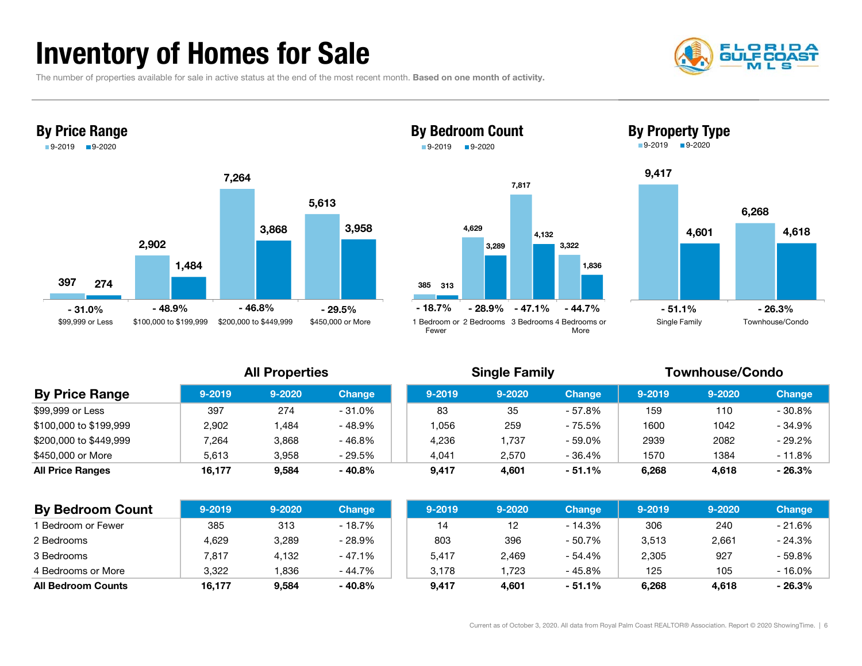## Inventory of Homes for Sale



The number of properties available for sale in active status at the end of the most recent month. Based on one month of activity.



### 7,817 By Bedroom Count 9-2019**9-2020**







| <b>By Price Range</b>   | $9 - 2019$ | $9 - 2020$ | <b>Change</b> | $9 - 2019$ | $9 - 2020$ | <b>Change</b> | $9 - 2019$ | $9 - 2020$ |  |
|-------------------------|------------|------------|---------------|------------|------------|---------------|------------|------------|--|
| \$99,999 or Less        | 397        | 274        | $-31.0%$      | 83         | 35         | - 57.8%       | 159        | 110        |  |
| \$100,000 to \$199,999  | 2.902      | .484       | - 48.9%       | 1.056      | 259        | - 75.5%       | 1600       | 1042       |  |
| \$200,000 to \$449,999  | 7,264      | 3.868      | $-46.8%$      | 4.236      | .737       | - 59.0%       | 2939       | 2082       |  |
| \$450,000 or More       | 5,613      | 3.958      | $-29.5%$      | 4,041      | 2.570      | - 36.4%       | 1570       | 1384       |  |
| <b>All Price Ranges</b> | 16.177     | 9.584      | $-40.8%$      | 9,417      | 4,601      | $-51.1%$      | 6,268      | 4,618      |  |

| <b>By Bedroom Count</b>   | $9 - 2019$ | $9 - 2020$ | <b>Change</b> | $9 - 2019$ | $9 - 2020$ | <b>Change</b> | 9-2019 | $9 - 2020$ | <b>Change</b> |
|---------------------------|------------|------------|---------------|------------|------------|---------------|--------|------------|---------------|
| Bedroom or Fewer          | 385        | 313        | - 18.7%       | 14         |            | - 14.3%       | 306    | 240        | $-21.6%$      |
| 2 Bedrooms                | 4,629      | 3,289      | - 28.9%       | 803        | 396        | - 50.7%       | 3,513  | 2,661      | - 24.3%       |
| 3 Bedrooms                | 7.817      | 4,132      | $-47.1%$      | 5,417      | 2,469      | - 54.4%       | 2,305  | 927        | - 59.8%       |
| 4 Bedrooms or More        | 3,322      | ,836       | - 44.7%       | 3.178      | .723       | - 45.8%       | 125    | 105        | - 16.0%       |
| <b>All Bedroom Counts</b> | 16,177     | 9.584      | - 40.8%       | 9.417      | 4.601      | $-51.1%$      | 6,268  | 4.618      | - 26.3%       |